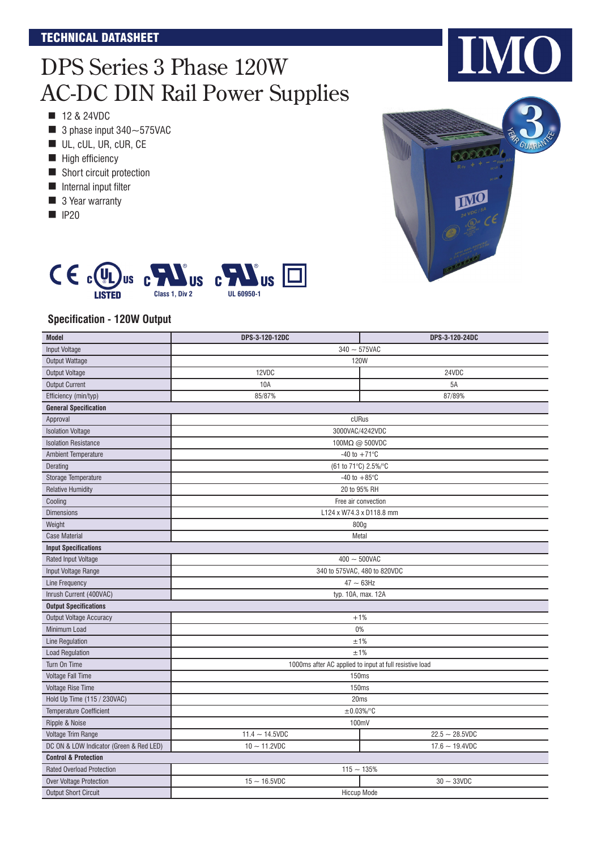### TECHNICAL DATASHEET

# DPS Series 3 Phase 120W AC-DC DIN Rail Power Supplies

- $\blacksquare$  12 & 24VDC
- $\blacksquare$  3 phase input 340 ~ 575 VAC
- UL, cUL, UR, cUR, CE
- High efficiency
- Short circuit protection
- $\blacksquare$  Internal input filter
- 3 Year warranty
- $\blacksquare$  IP20



IO |



#### **Specification - 120W Output**

| <b>Model</b>                            | DPS-3-120-12DC                                          | DPS-3-120-24DC    |  |  |
|-----------------------------------------|---------------------------------------------------------|-------------------|--|--|
| <b>Input Voltage</b>                    | $340 - 575$ VAC                                         |                   |  |  |
| <b>Output Wattage</b>                   | <b>120W</b>                                             |                   |  |  |
| <b>Output Voltage</b>                   | 12VDC                                                   | 24VDC             |  |  |
| <b>Output Current</b>                   | 10A                                                     | 5A                |  |  |
| Efficiency (min/typ)                    | 85/87%                                                  | 87/89%            |  |  |
| <b>General Specification</b>            |                                                         |                   |  |  |
| Approval                                | cURus                                                   |                   |  |  |
| <b>Isolation Voltage</b>                | 3000VAC/4242VDC                                         |                   |  |  |
| <b>Isolation Resistance</b>             | 100MΩ @ 500VDC                                          |                   |  |  |
| <b>Ambient Temperature</b>              | -40 to $+71^{\circ}$ C                                  |                   |  |  |
| Derating                                | (61 to 71°C) 2.5%/°C                                    |                   |  |  |
| Storage Temperature                     | -40 to $+85^{\circ}$ C                                  |                   |  |  |
| <b>Relative Humidity</b>                | 20 to 95% RH                                            |                   |  |  |
| Cooling                                 | Free air convection                                     |                   |  |  |
| <b>Dimensions</b>                       | L124 x W74.3 x D118.8 mm                                |                   |  |  |
| Weight                                  | 800g                                                    |                   |  |  |
| <b>Case Material</b>                    | Metal                                                   |                   |  |  |
| <b>Input Specifications</b>             |                                                         |                   |  |  |
| Rated Input Voltage                     | $400 - 500$ VAC                                         |                   |  |  |
| Input Voltage Range                     | 340 to 575VAC, 480 to 820VDC                            |                   |  |  |
| Line Frequency                          | $47 \sim 63$ Hz                                         |                   |  |  |
| Inrush Current (400VAC)                 | typ. 10A, max. 12A                                      |                   |  |  |
| <b>Output Specifications</b>            |                                                         |                   |  |  |
| <b>Output Voltage Accuracy</b>          | $+1%$                                                   |                   |  |  |
| Minimum Load                            | 0%                                                      |                   |  |  |
| <b>Line Regulation</b>                  | ±1%                                                     |                   |  |  |
| <b>Load Regulation</b>                  | ±1%                                                     |                   |  |  |
| Turn On Time                            | 1000ms after AC applied to input at full resistive load |                   |  |  |
| Voltage Fall Time                       | 150ms                                                   |                   |  |  |
| <b>Voltage Rise Time</b>                | 150ms                                                   |                   |  |  |
| Hold Up Time (115 / 230VAC)             | 20ms                                                    |                   |  |  |
| <b>Temperature Coefficient</b>          | $\pm 0.03\%/^{\circ}C$                                  |                   |  |  |
| Ripple & Noise                          | 100mV                                                   |                   |  |  |
| Voltage Trim Range                      | $11.4 - 14.5VDC$                                        | $22.5 - 28.5VDC$  |  |  |
| DC ON & LOW Indicator (Green & Red LED) | $10 - 11.2$ VDC                                         | $17.6 - 19.4$ VDC |  |  |
| <b>Control &amp; Protection</b>         |                                                         |                   |  |  |
| <b>Rated Overload Protection</b>        | $115 - 135%$                                            |                   |  |  |
| <b>Over Voltage Protection</b>          | $15 - 16.5VDC$                                          | $30 - 33VDC$      |  |  |
| <b>Output Short Circuit</b>             | <b>Hiccup Mode</b>                                      |                   |  |  |